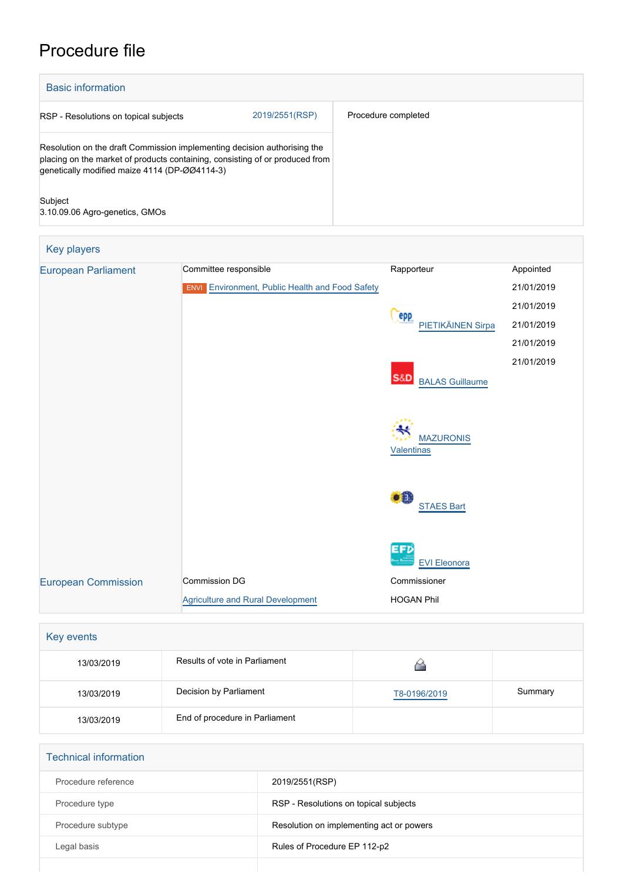# Procedure file



| <b>European Parliament</b> | Committee responsible                                  | Rapporteur                               | Appointed  |
|----------------------------|--------------------------------------------------------|------------------------------------------|------------|
|                            | <b>ENVI</b> Environment, Public Health and Food Safety |                                          | 21/01/2019 |
|                            |                                                        |                                          | 21/01/2019 |
|                            |                                                        | epp<br>PIETIKÄINEN Sirpa                 | 21/01/2019 |
|                            |                                                        |                                          | 21/01/2019 |
|                            |                                                        | <b>S&amp;D</b><br><b>BALAS Guillaume</b> | 21/01/2019 |
|                            |                                                        | <b>MAZURONIS</b><br><b>Valentinas</b>    |            |
|                            |                                                        | $\bullet$<br><b>STAES Bart</b>           |            |
|                            |                                                        | <b>EFD</b><br><b>EVI Eleonora</b>        |            |
| <b>European Commission</b> | Commission DG                                          | Commissioner                             |            |
|                            | <b>Agriculture and Rural Development</b>               | <b>HOGAN Phil</b>                        |            |

| Key events |                                |              |         |  |  |
|------------|--------------------------------|--------------|---------|--|--|
| 13/03/2019 | Results of vote in Parliament  |              |         |  |  |
| 13/03/2019 | Decision by Parliament         | T8-0196/2019 | Summary |  |  |
| 13/03/2019 | End of procedure in Parliament |              |         |  |  |

| <b>Technical information</b> |                                          |  |  |  |
|------------------------------|------------------------------------------|--|--|--|
| Procedure reference          | 2019/2551(RSP)                           |  |  |  |
| Procedure type               | RSP - Resolutions on topical subjects    |  |  |  |
| Procedure subtype            | Resolution on implementing act or powers |  |  |  |
| Legal basis                  | Rules of Procedure EP 112-p2             |  |  |  |
|                              |                                          |  |  |  |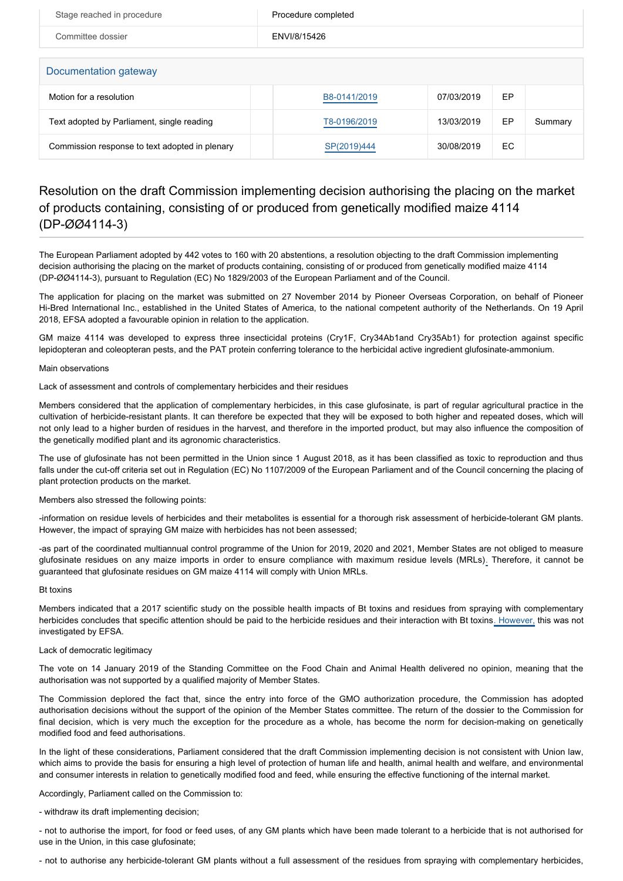| Stage reached in procedure                     | Procedure completed |            |    |         |  |  |
|------------------------------------------------|---------------------|------------|----|---------|--|--|
| Committee dossier                              | ENVI/8/15426        |            |    |         |  |  |
|                                                |                     |            |    |         |  |  |
| Documentation gateway                          |                     |            |    |         |  |  |
| Motion for a resolution                        | B8-0141/2019        | 07/03/2019 | EP |         |  |  |
| Text adopted by Parliament, single reading     | T8-0196/2019        | 13/03/2019 | EP | Summary |  |  |
| Commission response to text adopted in plenary | SP(2019)444         | 30/08/2019 | EC |         |  |  |

## Resolution on the draft Commission implementing decision authorising the placing on the market of products containing, consisting of or produced from genetically modified maize 4114 (DP-ØØ4114-3)

The European Parliament adopted by 442 votes to 160 with 20 abstentions, a resolution objecting to the draft Commission implementing decision authorising the placing on the market of products containing, consisting of or produced from genetically modified maize 4114 (DP-ØØ4114-3), pursuant to Regulation (EC) No 1829/2003 of the European Parliament and of the Council.

The application for placing on the market was submitted on 27 November 2014 by Pioneer Overseas Corporation, on behalf of Pioneer Hi-Bred International Inc., established in the United States of America, to the national competent authority of the Netherlands. On 19 April 2018, EFSA adopted a favourable opinion in relation to the application.

GM maize 4114 was developed to express three insecticidal proteins (Cry1F, Cry34Ab1and Cry35Ab1) for protection against specific lepidopteran and coleopteran pests, and the PAT protein conferring tolerance to the herbicidal active ingredient glufosinate-ammonium.

### Main observations

Lack of assessment and controls of complementary herbicides and their residues

Members considered that the application of complementary herbicides, in this case glufosinate, is part of regular agricultural practice in the cultivation of herbicide-resistant plants. It can therefore be expected that they will be exposed to both higher and repeated doses, which will not only lead to a higher burden of residues in the harvest, and therefore in the imported product, but may also influence the composition of the genetically modified plant and its agronomic characteristics.

The use of glufosinate has not been permitted in the Union since 1 August 2018, as it has been classified as toxic to reproduction and thus falls under the cut-off criteria set out in Regulation (EC) No 1107/2009 of the European Parliament and of the Council concerning the placing of plant protection products on the market.

Members also stressed the following points:

-information on residue levels of herbicides and their metabolites is essential for a thorough risk assessment of herbicide-tolerant GM plants. However, the impact of spraying GM maize with herbicides has not been assessed;

-as part of the coordinated multiannual control programme of the Union for 2019, 2020 and 2021, Member States are not obliged to measure glufosinate residues on any maize imports in order to ensure compliance with maximum residue levels (MRLs). Therefore, it cannot be guaranteed that glufosinate residues on GM maize 4114 will comply with Union MRLs.

### Bt toxins

Members indicated that a 2017 scientific study on the possible health impacts of Bt toxins and residues from spraying with complementary herbicides concludes that specific attention should be paid to the herbicide residues and their interaction with Bt toxins. However, this was not investigated by EFSA.

### Lack of democratic legitimacy

The vote on 14 January 2019 of the Standing Committee on the Food Chain and Animal Health delivered no opinion, meaning that the authorisation was not supported by a qualified majority of Member States.

The Commission deplored the fact that, since the entry into force of the GMO authorization procedure, the Commission has adopted authorisation decisions without the support of the opinion of the Member States committee. The return of the dossier to the Commission for final decision, which is very much the exception for the procedure as a whole, has become the norm for decision-making on genetically modified food and feed authorisations.

In the light of these considerations, Parliament considered that the draft Commission implementing decision is not consistent with Union law, which aims to provide the basis for ensuring a high level of protection of human life and health, animal health and welfare, and environmental and consumer interests in relation to genetically modified food and feed, while ensuring the effective functioning of the internal market.

Accordingly, Parliament called on the Commission to:

- withdraw its draft implementing decision;

- not to authorise the import, for food or feed uses, of any GM plants which have been made tolerant to a herbicide that is not authorised for use in the Union, in this case glufosinate;

- not to authorise any herbicide-tolerant GM plants without a full assessment of the residues from spraying with complementary herbicides,